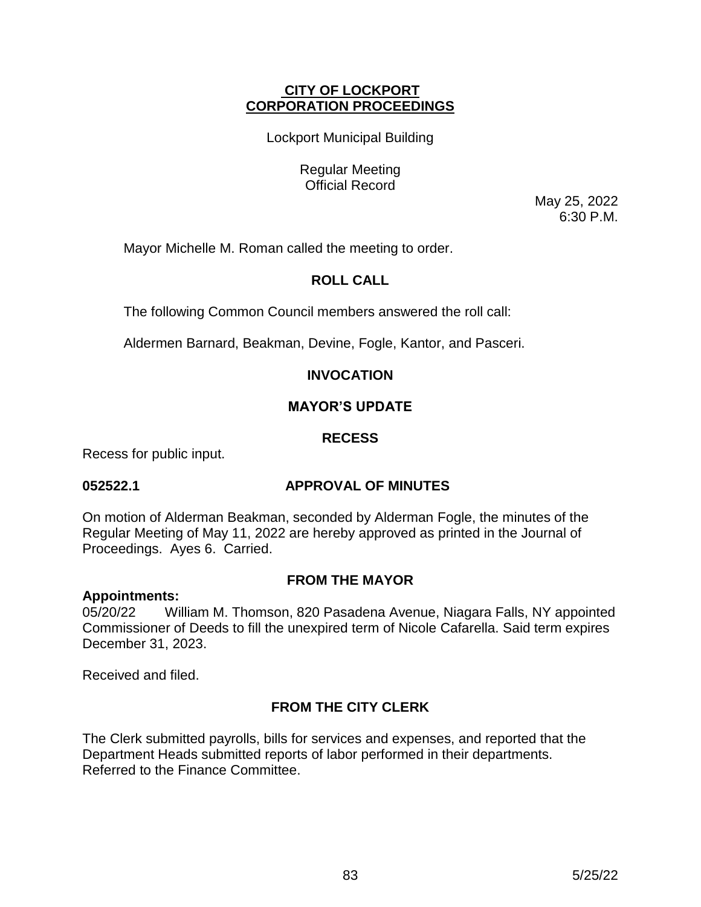## **CITY OF LOCKPORT CORPORATION PROCEEDINGS**

Lockport Municipal Building

Regular Meeting Official Record

May 25, 2022 6:30 P.M.

Mayor Michelle M. Roman called the meeting to order.

# **ROLL CALL**

The following Common Council members answered the roll call:

Aldermen Barnard, Beakman, Devine, Fogle, Kantor, and Pasceri.

## **INVOCATION**

## **MAYOR'S UPDATE**

## **RECESS**

Recess for public input.

## **052522.1 APPROVAL OF MINUTES**

On motion of Alderman Beakman, seconded by Alderman Fogle, the minutes of the Regular Meeting of May 11, 2022 are hereby approved as printed in the Journal of Proceedings. Ayes 6. Carried.

## **FROM THE MAYOR**

## **Appointments:**

05/20/22 William M. Thomson, 820 Pasadena Avenue, Niagara Falls, NY appointed Commissioner of Deeds to fill the unexpired term of Nicole Cafarella. Said term expires December 31, 2023.

Received and filed.

# **FROM THE CITY CLERK**

The Clerk submitted payrolls, bills for services and expenses, and reported that the Department Heads submitted reports of labor performed in their departments. Referred to the Finance Committee.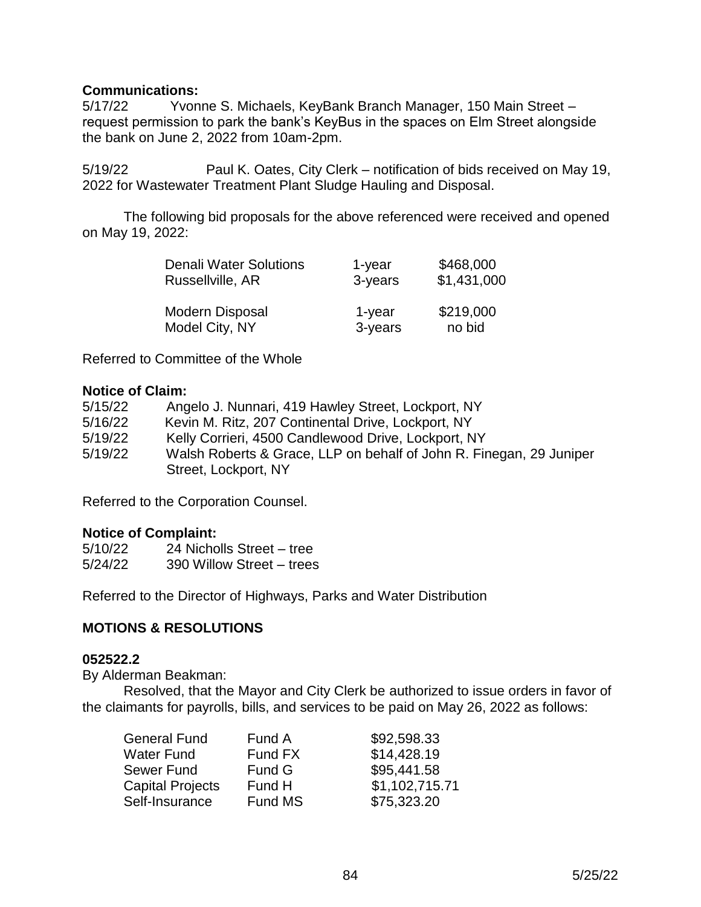## **Communications:**

5/17/22 Yvonne S. Michaels, KeyBank Branch Manager, 150 Main Street – request permission to park the bank's KeyBus in the spaces on Elm Street alongside the bank on June 2, 2022 from 10am-2pm.

5/19/22 Paul K. Oates, City Clerk – notification of bids received on May 19, 2022 for Wastewater Treatment Plant Sludge Hauling and Disposal.

The following bid proposals for the above referenced were received and opened on May 19, 2022:

| <b>Denali Water Solutions</b> | $1$ -year | \$468,000   |
|-------------------------------|-----------|-------------|
| Russellville, AR              | 3-years   | \$1,431,000 |
| <b>Modern Disposal</b>        | $1$ -year | \$219,000   |
| Model City, NY                | 3-years   | no bid      |

Referred to Committee of the Whole

#### **Notice of Claim:**

| 5/15/22 | Angelo J. Nunnari, 419 Hawley Street, Lockport, NY                                          |
|---------|---------------------------------------------------------------------------------------------|
| 5/16/22 | Kevin M. Ritz, 207 Continental Drive, Lockport, NY                                          |
| 5/19/22 | Kelly Corrieri, 4500 Candlewood Drive, Lockport, NY                                         |
| 5/19/22 | Walsh Roberts & Grace, LLP on behalf of John R. Finegan, 29 Juniper<br>Street, Lockport, NY |

Referred to the Corporation Counsel.

## **Notice of Complaint:**

| 5/10/22 | 24 Nicholls Street – tree |
|---------|---------------------------|
| 5/24/22 | 390 Willow Street - trees |

Referred to the Director of Highways, Parks and Water Distribution

## **MOTIONS & RESOLUTIONS**

#### **052522.2**

By Alderman Beakman:

Resolved, that the Mayor and City Clerk be authorized to issue orders in favor of the claimants for payrolls, bills, and services to be paid on May 26, 2022 as follows:

| Fund A  | \$92,598.33    |
|---------|----------------|
| Fund FX | \$14,428.19    |
| Fund G  | \$95,441.58    |
| Fund H  | \$1,102,715.71 |
| Fund MS | \$75,323.20    |
|         |                |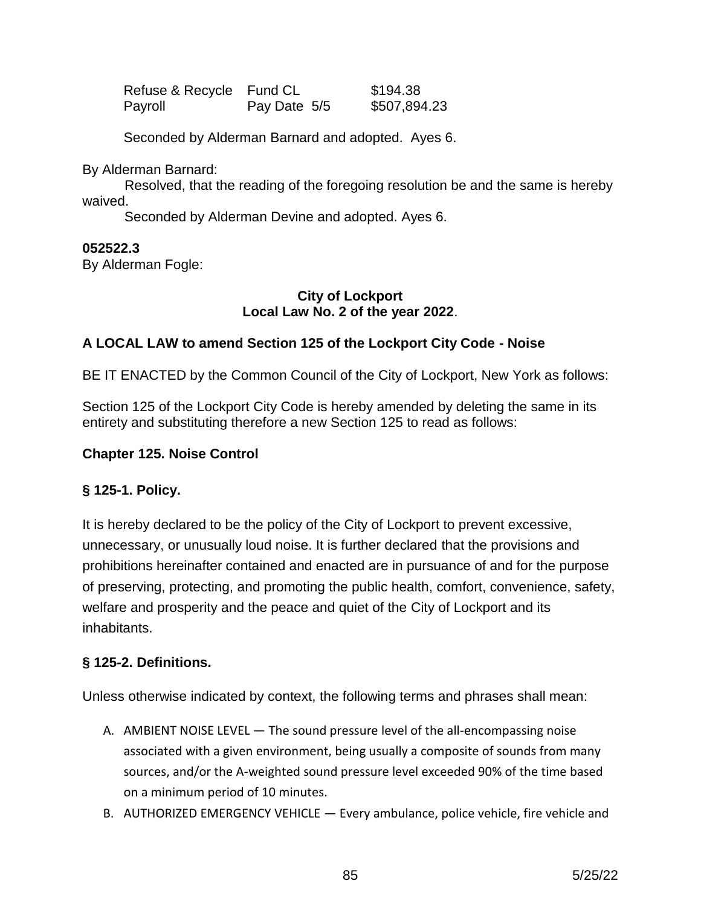Refuse & Recycle Fund CL \$194.38 Payroll **Pay Date 5/5 \$507,894.23** 

Seconded by Alderman Barnard and adopted. Ayes 6.

By Alderman Barnard:

 Resolved, that the reading of the foregoing resolution be and the same is hereby waived.

Seconded by Alderman Devine and adopted. Ayes 6.

# **052522.3**

By Alderman Fogle:

## **City of Lockport Local Law No. 2 of the year 2022**.

# **A LOCAL LAW to amend Section 125 of the Lockport City Code - Noise**

BE IT ENACTED by the Common Council of the City of Lockport, New York as follows:

Section 125 of the Lockport City Code is hereby amended by deleting the same in its entirety and substituting therefore a new Section 125 to read as follows:

# **Chapter 125. Noise Control**

## **§ 125-1. Policy.**

It is hereby declared to be the policy of the City of Lockport to prevent excessive, unnecessary, or unusually loud noise. It is further declared that the provisions and prohibitions hereinafter contained and enacted are in pursuance of and for the purpose of preserving, protecting, and promoting the public health, comfort, convenience, safety, welfare and prosperity and the peace and quiet of the City of Lockport and its inhabitants.

# **§ 125-2. Definitions.**

Unless otherwise indicated by context, the following terms and phrases shall mean:

- A. AMBIENT NOISE LEVEL The sound pressure level of the all-encompassing noise associated with a given environment, being usually a composite of sounds from many sources, and/or the A-weighted sound pressure level exceeded 90% of the time based on a minimum period of 10 minutes.
- B. AUTHORIZED EMERGENCY VEHICLE Every ambulance, police vehicle, fire vehicle and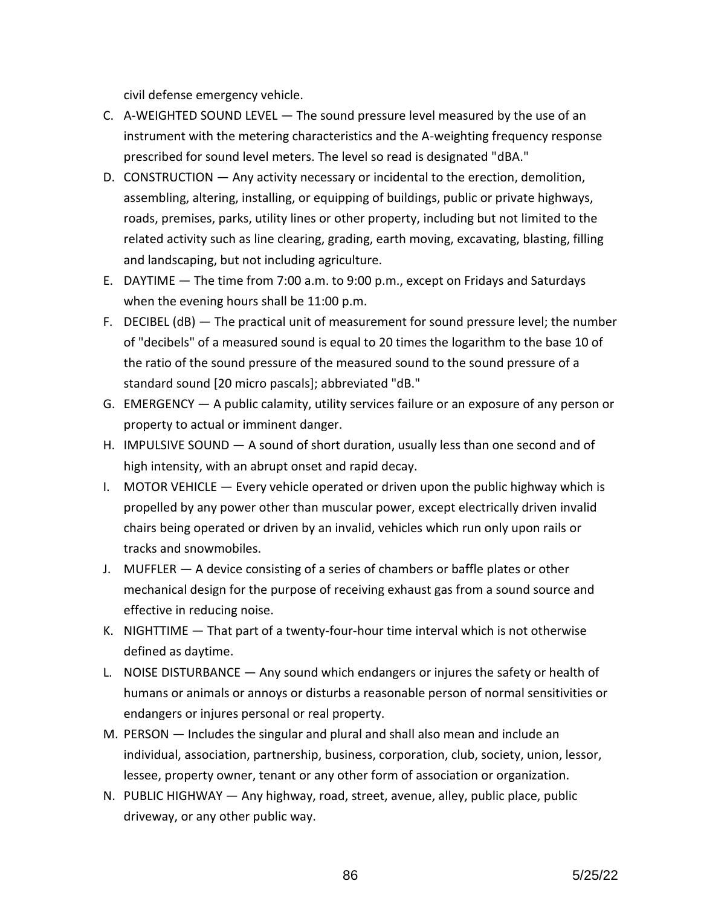civil defense emergency vehicle.

- C. A-WEIGHTED SOUND LEVEL The sound pressure level measured by the use of an instrument with the metering characteristics and the A-weighting frequency response prescribed for sound level meters. The level so read is designated "dBA."
- D. CONSTRUCTION Any activity necessary or incidental to the erection, demolition, assembling, altering, installing, or equipping of buildings, public or private highways, roads, premises, parks, utility lines or other property, including but not limited to the related activity such as line clearing, grading, earth moving, excavating, blasting, filling and landscaping, but not including agriculture.
- E. DAYTIME The time from 7:00 a.m. to 9:00 p.m., except on Fridays and Saturdays when the evening hours shall be 11:00 p.m.
- F. DECIBEL (dB) The practical unit of measurement for sound pressure level; the number of "decibels" of a measured sound is equal to 20 times the logarithm to the base 10 of the ratio of the sound pressure of the measured sound to the sound pressure of a standard sound [20 micro pascals]; abbreviated "dB."
- G. EMERGENCY A public calamity, utility services failure or an exposure of any person or property to actual or imminent danger.
- H. IMPULSIVE SOUND A sound of short duration, usually less than one second and of high intensity, with an abrupt onset and rapid decay.
- I. MOTOR VEHICLE Every vehicle operated or driven upon the public highway which is propelled by any power other than muscular power, except electrically driven invalid chairs being operated or driven by an invalid, vehicles which run only upon rails or tracks and snowmobiles.
- J. MUFFLER A device consisting of a series of chambers or baffle plates or other mechanical design for the purpose of receiving exhaust gas from a sound source and effective in reducing noise.
- K. NIGHTTIME That part of a twenty-four-hour time interval which is not otherwise defined as daytime.
- L. NOISE DISTURBANCE Any sound which endangers or injures the safety or health of humans or animals or annoys or disturbs a reasonable person of normal sensitivities or endangers or injures personal or real property.
- M. PERSON Includes the singular and plural and shall also mean and include an individual, association, partnership, business, corporation, club, society, union, lessor, lessee, property owner, tenant or any other form of association or organization.
- N. PUBLIC HIGHWAY Any highway, road, street, avenue, alley, public place, public driveway, or any other public way.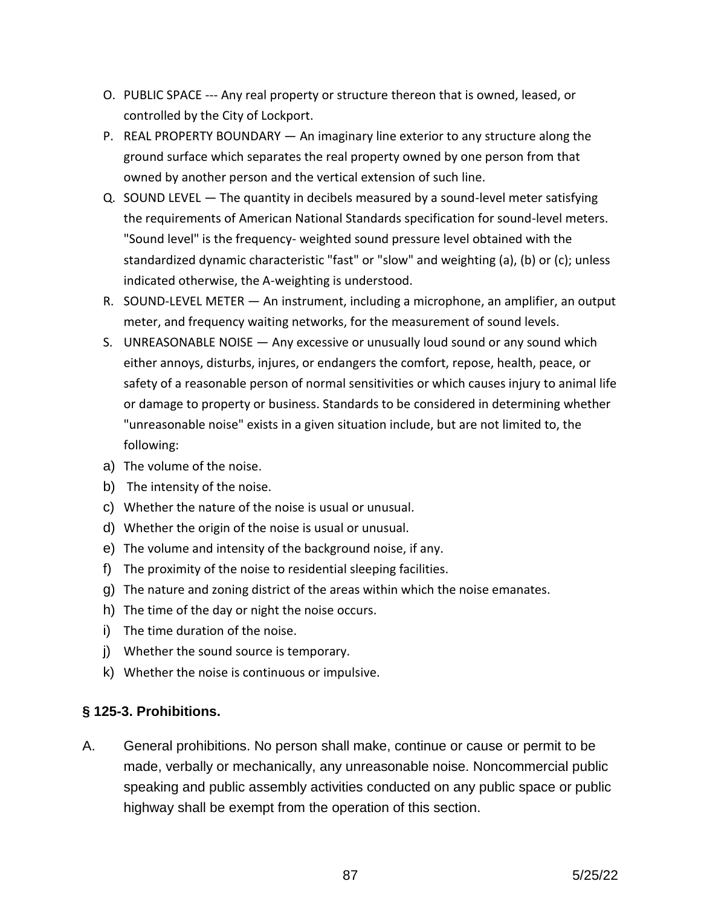- O. PUBLIC SPACE --- Any real property or structure thereon that is owned, leased, or controlled by the City of Lockport.
- P. REAL PROPERTY BOUNDARY An imaginary line exterior to any structure along the ground surface which separates the real property owned by one person from that owned by another person and the vertical extension of such line.
- Q. SOUND LEVEL The quantity in decibels measured by a sound-level meter satisfying the requirements of American National Standards specification for sound-level meters. "Sound level" is the frequency- weighted sound pressure level obtained with the standardized dynamic characteristic "fast" or "slow" and weighting (a), (b) or (c); unless indicated otherwise, the A-weighting is understood.
- R. SOUND-LEVEL METER An instrument, including a microphone, an amplifier, an output meter, and frequency waiting networks, for the measurement of sound levels.
- S. UNREASONABLE NOISE Any excessive or unusually loud sound or any sound which either annoys, disturbs, injures, or endangers the comfort, repose, health, peace, or safety of a reasonable person of normal sensitivities or which causes injury to animal life or damage to property or business. Standards to be considered in determining whether "unreasonable noise" exists in a given situation include, but are not limited to, the following:
- a) The volume of the noise.
- b) The intensity of the noise.
- c) Whether the nature of the noise is usual or unusual.
- d) Whether the origin of the noise is usual or unusual.
- e) The volume and intensity of the background noise, if any.
- f) The proximity of the noise to residential sleeping facilities.
- g) The nature and zoning district of the areas within which the noise emanates.
- h) The time of the day or night the noise occurs.
- i) The time duration of the noise.
- j) Whether the sound source is temporary.
- k) Whether the noise is continuous or impulsive.

## **§ 125-3. Prohibitions.**

A. General prohibitions. No person shall make, continue or cause or permit to be made, verbally or mechanically, any unreasonable noise. Noncommercial public speaking and public assembly activities conducted on any public space or public highway shall be exempt from the operation of this section.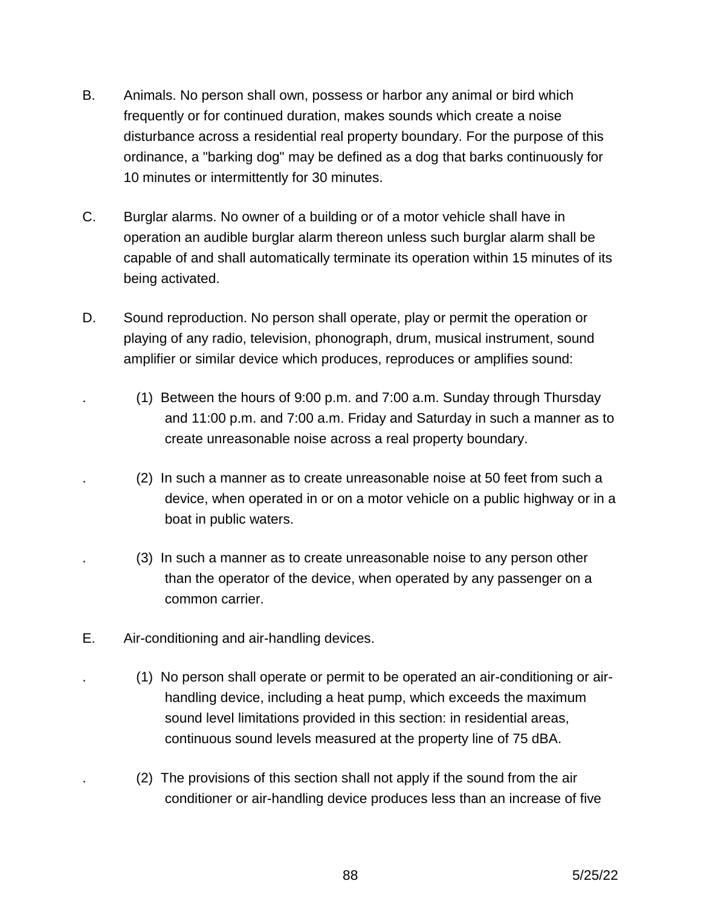- B. Animals. No person shall own, possess or harbor any animal or bird which frequently or for continued duration, makes sounds which create a noise disturbance across a residential real property boundary. For the purpose of this ordinance, a "barking dog" may be defined as a dog that barks continuously for 10 minutes or intermittently for 30 minutes.
- C. Burglar alarms. No owner of a building or of a motor vehicle shall have in operation an audible burglar alarm thereon unless such burglar alarm shall be capable of and shall automatically terminate its operation within 15 minutes of its being activated.
- D. Sound reproduction. No person shall operate, play or permit the operation or playing of any radio, television, phonograph, drum, musical instrument, sound amplifier or similar device which produces, reproduces or amplifies sound:
	- (1) Between the hours of 9:00 p.m. and  $7:00$  a.m. Sunday through Thursday and 11:00 p.m. and 7:00 a.m. Friday and Saturday in such a manner as to create unreasonable noise across a real property boundary.
	- . (2) In such a manner as to create unreasonable noise at 50 feet from such a device, when operated in or on a motor vehicle on a public highway or in a boat in public waters.
	- . (3) In such a manner as to create unreasonable noise to any person other than the operator of the device, when operated by any passenger on a common carrier.
- E. Air-conditioning and air-handling devices.
	- . (1) No person shall operate or permit to be operated an air-conditioning or airhandling device, including a heat pump, which exceeds the maximum sound level limitations provided in this section: in residential areas, continuous sound levels measured at the property line of 75 dBA.
	- . (2) The provisions of this section shall not apply if the sound from the air conditioner or air-handling device produces less than an increase of five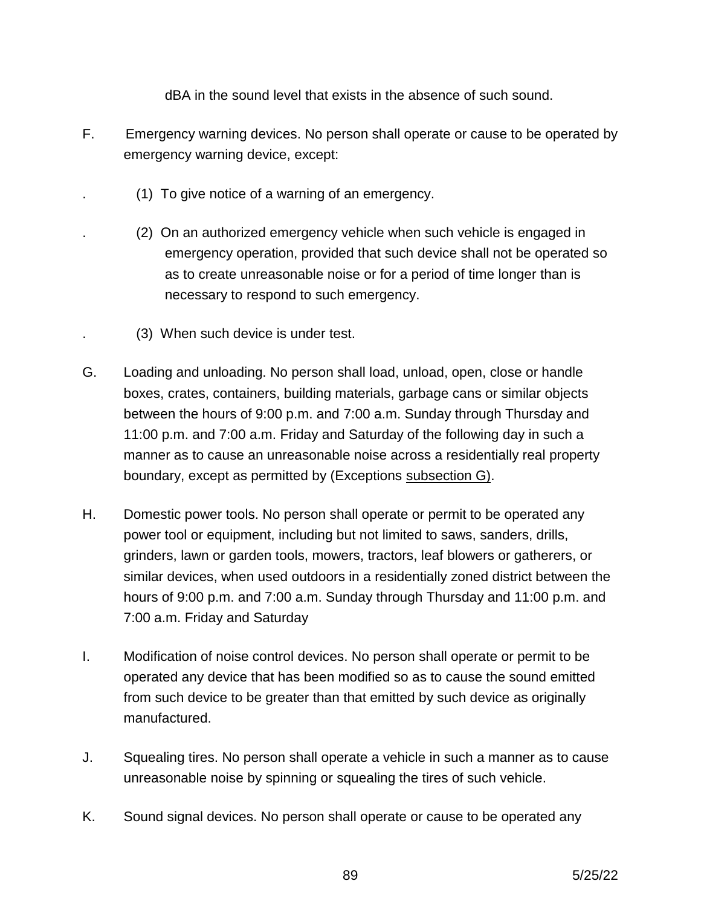dBA in the sound level that exists in the absence of such sound.

- F. Emergency warning devices. No person shall operate or cause to be operated by emergency warning device, except:
	- . (1) To give notice of a warning of an emergency.
	- . (2) On an authorized emergency vehicle when such vehicle is engaged in emergency operation, provided that such device shall not be operated so as to create unreasonable noise or for a period of time longer than is necessary to respond to such emergency.
	- . (3) When such device is under test.
- G. Loading and unloading. No person shall load, unload, open, close or handle boxes, crates, containers, building materials, garbage cans or similar objects between the hours of 9:00 p.m. and 7:00 a.m. Sunday through Thursday and 11:00 p.m. and 7:00 a.m. Friday and Saturday of the following day in such a manner as to cause an unreasonable noise across a residentially real property boundary, except as permitted by (Exceptions subsection G).
- H. Domestic power tools. No person shall operate or permit to be operated any power tool or equipment, including but not limited to saws, sanders, drills, grinders, lawn or garden tools, mowers, tractors, leaf blowers or gatherers, or similar devices, when used outdoors in a residentially zoned district between the hours of 9:00 p.m. and 7:00 a.m. Sunday through Thursday and 11:00 p.m. and 7:00 a.m. Friday and Saturday
- I. Modification of noise control devices. No person shall operate or permit to be operated any device that has been modified so as to cause the sound emitted from such device to be greater than that emitted by such device as originally manufactured.
- J. Squealing tires. No person shall operate a vehicle in such a manner as to cause unreasonable noise by spinning or squealing the tires of such vehicle.
- K. Sound signal devices. No person shall operate or cause to be operated any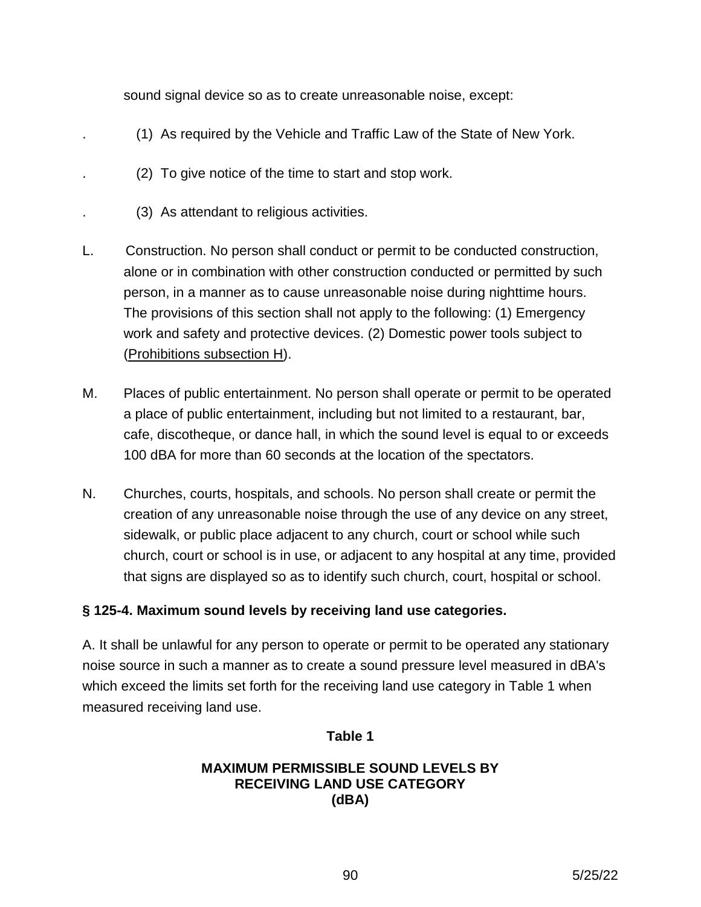sound signal device so as to create unreasonable noise, except:

- . (1) As required by the Vehicle and Traffic Law of the State of New York.
- . (2) To give notice of the time to start and stop work.
- . (3) As attendant to religious activities.
- L. Construction. No person shall conduct or permit to be conducted construction, alone or in combination with other construction conducted or permitted by such person, in a manner as to cause unreasonable noise during nighttime hours. The provisions of this section shall not apply to the following: (1) Emergency work and safety and protective devices. (2) Domestic power tools subject to (Prohibitions subsection H).
- M. Places of public entertainment. No person shall operate or permit to be operated a place of public entertainment, including but not limited to a restaurant, bar, cafe, discotheque, or dance hall, in which the sound level is equal to or exceeds 100 dBA for more than 60 seconds at the location of the spectators.
- N. Churches, courts, hospitals, and schools. No person shall create or permit the creation of any unreasonable noise through the use of any device on any street, sidewalk, or public place adjacent to any church, court or school while such church, court or school is in use, or adjacent to any hospital at any time, provided that signs are displayed so as to identify such church, court, hospital or school.

## **§ 125-4. Maximum sound levels by receiving land use categories.**

A. It shall be unlawful for any person to operate or permit to be operated any stationary noise source in such a manner as to create a sound pressure level measured in dBA's which exceed the limits set forth for the receiving land use category in Table 1 when measured receiving land use.

## **Table 1**

## **MAXIMUM PERMISSIBLE SOUND LEVELS BY RECEIVING LAND USE CATEGORY (dBA)**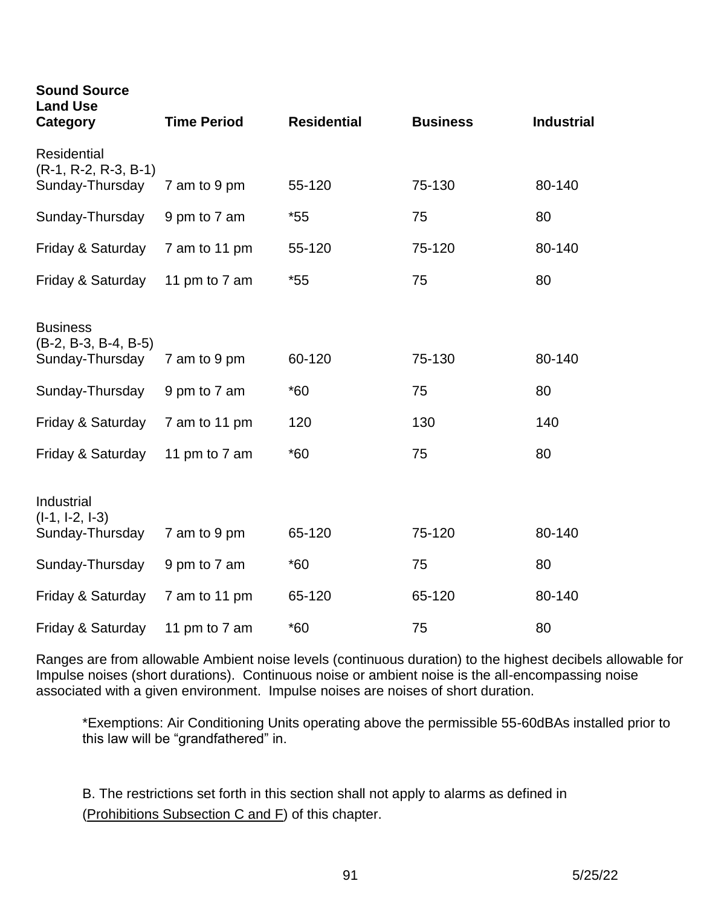| <b>Sound Source</b><br><b>Land Use</b><br>Category | <b>Time Period</b> | <b>Residential</b> | <b>Business</b> | <b>Industrial</b> |
|----------------------------------------------------|--------------------|--------------------|-----------------|-------------------|
| <b>Residential</b><br>$(R-1, R-2, R-3, B-1)$       |                    |                    |                 |                   |
| Sunday-Thursday                                    | 7 am to 9 pm       | 55-120             | 75-130          | 80-140            |
| Sunday-Thursday                                    | 9 pm to 7 am       | $*55$              | 75              | 80                |
| Friday & Saturday                                  | 7 am to 11 pm      | 55-120             | 75-120          | 80-140            |
| Friday & Saturday                                  | 11 pm to 7 am      | $*55$              | 75              | 80                |
| <b>Business</b><br>$(B-2, B-3, B-4, B-5)$          |                    |                    |                 |                   |
| Sunday-Thursday                                    | 7 am to 9 pm       | 60-120             | 75-130          | 80-140            |
| Sunday-Thursday                                    | 9 pm to 7 am       | $*60$              | 75              | 80                |
| Friday & Saturday                                  | 7 am to 11 pm      | 120                | 130             | 140               |
| Friday & Saturday                                  | 11 pm to 7 am      | $*60$              | 75              | 80                |
| Industrial<br>$(I-1, I-2, I-3)$                    |                    |                    |                 |                   |
| Sunday-Thursday                                    | 7 am to 9 pm       | 65-120             | 75-120          | 80-140            |
| Sunday-Thursday                                    | 9 pm to 7 am       | $*60$              | 75              | 80                |
| Friday & Saturday                                  | 7 am to 11 pm      | 65-120             | 65-120          | 80-140            |
| Friday & Saturday                                  | 11 pm to 7 am      | $*60$              | 75              | 80                |

Ranges are from allowable Ambient noise levels (continuous duration) to the highest decibels allowable for Impulse noises (short durations). Continuous noise or ambient noise is the all-encompassing noise associated with a given environment. Impulse noises are noises of short duration.

\*Exemptions: Air Conditioning Units operating above the permissible 55-60dBAs installed prior to this law will be "grandfathered" in.

B. The restrictions set forth in this section shall not apply to alarms as defined in (Prohibitions Subsection C and F) of this chapter.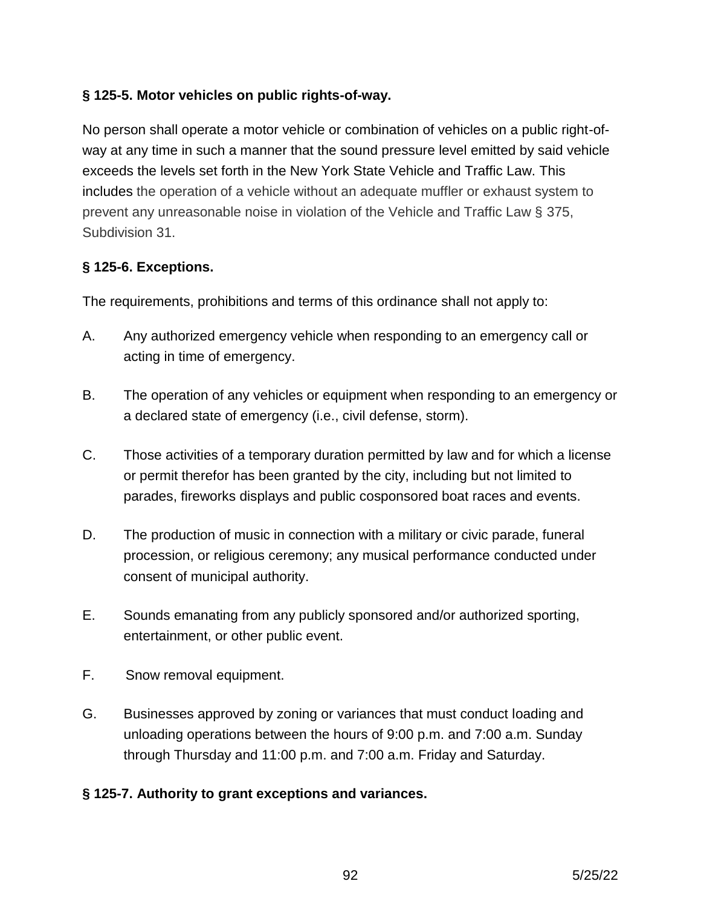# **§ 125-5. Motor vehicles on public rights-of-way.**

No person shall operate a motor vehicle or combination of vehicles on a public right-ofway at any time in such a manner that the sound pressure level emitted by said vehicle exceeds the levels set forth in the New York State Vehicle and Traffic Law. This includes the operation of a vehicle without an adequate muffler or exhaust system to prevent any unreasonable noise in violation of the Vehicle and Traffic Law § 375, Subdivision 31.

# **§ 125-6. Exceptions.**

The requirements, prohibitions and terms of this ordinance shall not apply to:

- A. Any authorized emergency vehicle when responding to an emergency call or acting in time of emergency.
- B. The operation of any vehicles or equipment when responding to an emergency or a declared state of emergency (i.e., civil defense, storm).
- C. Those activities of a temporary duration permitted by law and for which a license or permit therefor has been granted by the city, including but not limited to parades, fireworks displays and public cosponsored boat races and events.
- D. The production of music in connection with a military or civic parade, funeral procession, or religious ceremony; any musical performance conducted under consent of municipal authority.
- E. Sounds emanating from any publicly sponsored and/or authorized sporting, entertainment, or other public event.
- F. Snow removal equipment.
- G. Businesses approved by zoning or variances that must conduct loading and unloading operations between the hours of 9:00 p.m. and 7:00 a.m. Sunday through Thursday and 11:00 p.m. and 7:00 a.m. Friday and Saturday.

## **§ 125-7. Authority to grant exceptions and variances.**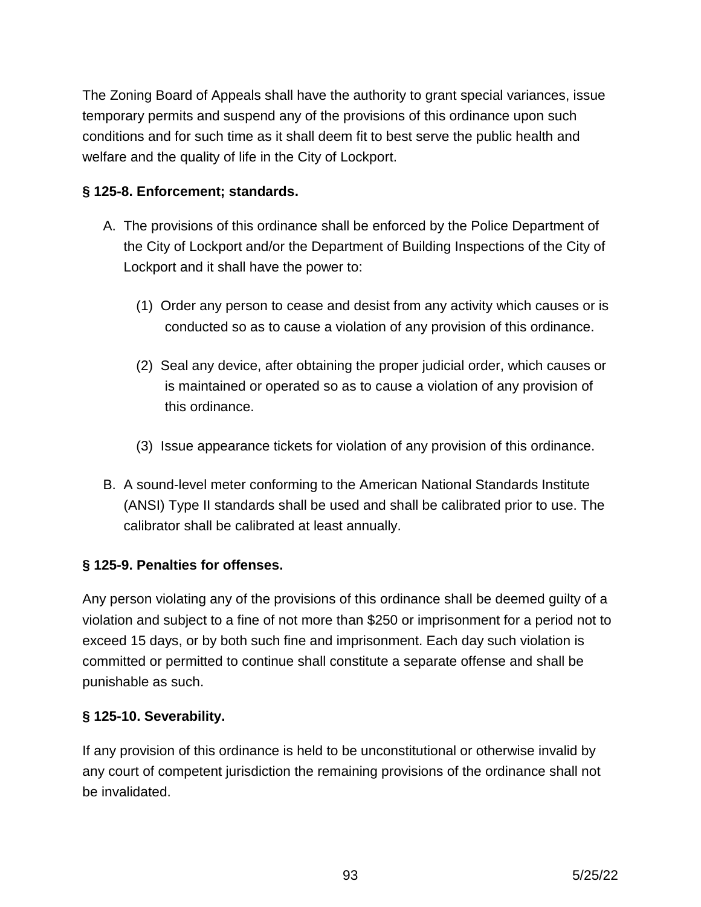The Zoning Board of Appeals shall have the authority to grant special variances, issue temporary permits and suspend any of the provisions of this ordinance upon such conditions and for such time as it shall deem fit to best serve the public health and welfare and the quality of life in the City of Lockport.

# **§ 125-8. Enforcement; standards.**

- A. The provisions of this ordinance shall be enforced by the Police Department of the City of Lockport and/or the Department of Building Inspections of the City of Lockport and it shall have the power to:
	- (1) Order any person to cease and desist from any activity which causes or is conducted so as to cause a violation of any provision of this ordinance.
	- (2) Seal any device, after obtaining the proper judicial order, which causes or is maintained or operated so as to cause a violation of any provision of this ordinance.
	- (3) Issue appearance tickets for violation of any provision of this ordinance.
- B. A sound-level meter conforming to the American National Standards Institute (ANSI) Type II standards shall be used and shall be calibrated prior to use. The calibrator shall be calibrated at least annually.

## **§ 125-9. Penalties for offenses.**

Any person violating any of the provisions of this ordinance shall be deemed guilty of a violation and subject to a fine of not more than \$250 or imprisonment for a period not to exceed 15 days, or by both such fine and imprisonment. Each day such violation is committed or permitted to continue shall constitute a separate offense and shall be punishable as such.

## **§ 125-10. Severability.**

If any provision of this ordinance is held to be unconstitutional or otherwise invalid by any court of competent jurisdiction the remaining provisions of the ordinance shall not be invalidated.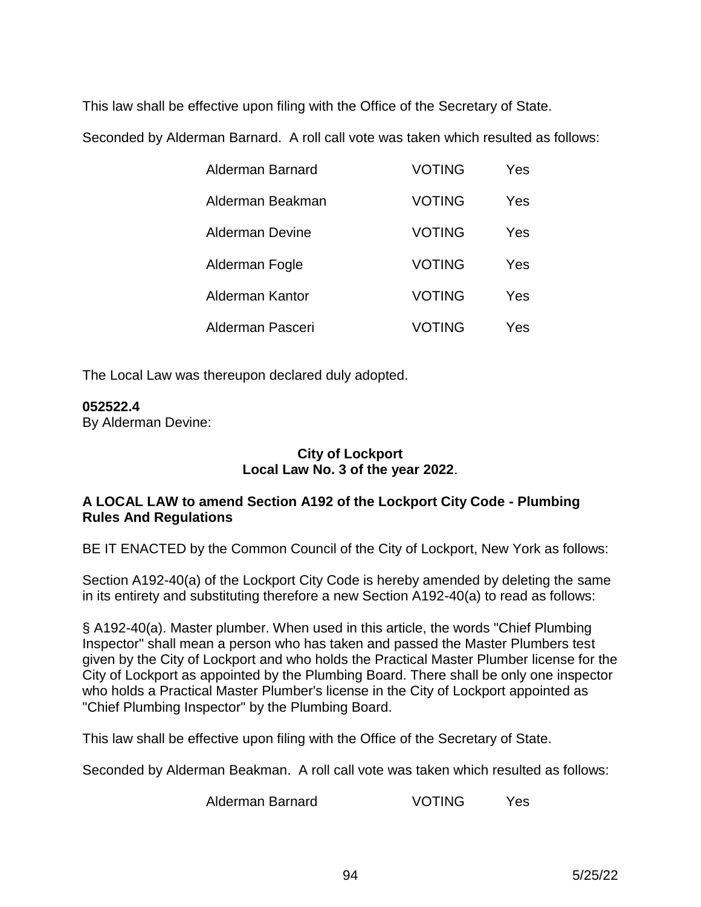This law shall be effective upon filing with the Office of the Secretary of State.

Seconded by Alderman Barnard. A roll call vote was taken which resulted as follows:

| Alderman Barnard | <b>VOTING</b> | Yes |
|------------------|---------------|-----|
| Alderman Beakman | <b>VOTING</b> | Yes |
| Alderman Devine  | <b>VOTING</b> | Yes |
| Alderman Fogle   | <b>VOTING</b> | Yes |
| Alderman Kantor  | <b>VOTING</b> | Yes |
| Alderman Pasceri | VOTING        | Yes |

The Local Law was thereupon declared duly adopted.

## **052522.4**

By Alderman Devine:

## **City of Lockport Local Law No. 3 of the year 2022**.

## **A LOCAL LAW to amend Section A192 of the Lockport City Code - Plumbing Rules And Regulations**

BE IT ENACTED by the Common Council of the City of Lockport, New York as follows:

Section A192-40(a) of the Lockport City Code is hereby amended by deleting the same in its entirety and substituting therefore a new Section A192-40(a) to read as follows:

§ A192-40(a). Master plumber. When used in this article, the words "Chief Plumbing Inspector" shall mean a person who has taken and passed the Master Plumbers test given by the City of Lockport and who holds the Practical Master Plumber license for the City of Lockport as appointed by the Plumbing Board. There shall be only one inspector who holds a Practical Master Plumber's license in the City of Lockport appointed as "Chief Plumbing Inspector" by the Plumbing Board.

This law shall be effective upon filing with the Office of the Secretary of State.

Seconded by Alderman Beakman. A roll call vote was taken which resulted as follows:

Alderman Barnard VOTING Yes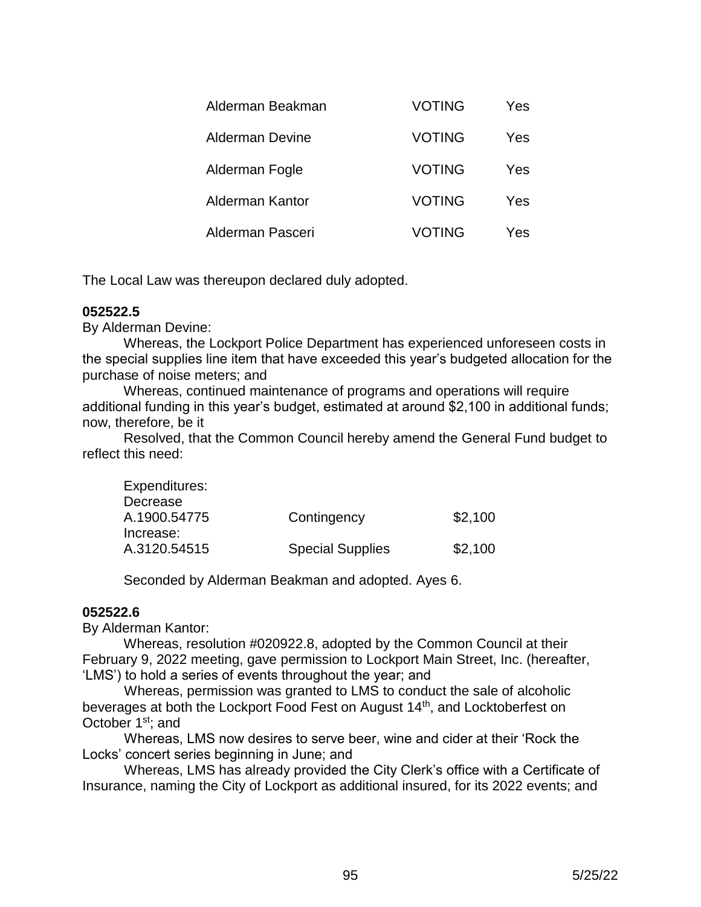| Alderman Beakman | VOTING        | Yes |
|------------------|---------------|-----|
| Alderman Devine  | <b>VOTING</b> | Yes |
| Alderman Fogle   | <b>VOTING</b> | Yes |
| Alderman Kantor  | <b>VOTING</b> | Yes |
| Alderman Pasceri | VOTING        | Yes |

The Local Law was thereupon declared duly adopted.

#### **052522.5**

By Alderman Devine:

Whereas, the Lockport Police Department has experienced unforeseen costs in the special supplies line item that have exceeded this year's budgeted allocation for the purchase of noise meters; and

Whereas, continued maintenance of programs and operations will require additional funding in this year's budget, estimated at around \$2,100 in additional funds; now, therefore, be it

Resolved, that the Common Council hereby amend the General Fund budget to reflect this need:

| Expenditures:             |                         |         |
|---------------------------|-------------------------|---------|
| Decrease                  |                         |         |
| A.1900.54775<br>Increase: | Contingency             | \$2,100 |
| A.3120.54515              | <b>Special Supplies</b> | \$2,100 |

Seconded by Alderman Beakman and adopted. Ayes 6.

## **052522.6**

By Alderman Kantor:

Whereas, resolution #020922.8, adopted by the Common Council at their February 9, 2022 meeting, gave permission to Lockport Main Street, Inc. (hereafter, 'LMS') to hold a series of events throughout the year; and

 Whereas, permission was granted to LMS to conduct the sale of alcoholic beverages at both the Lockport Food Fest on August 14<sup>th</sup>, and Locktoberfest on October 1<sup>st</sup>; and

 Whereas, LMS now desires to serve beer, wine and cider at their 'Rock the Locks' concert series beginning in June; and

 Whereas, LMS has already provided the City Clerk's office with a Certificate of Insurance, naming the City of Lockport as additional insured, for its 2022 events; and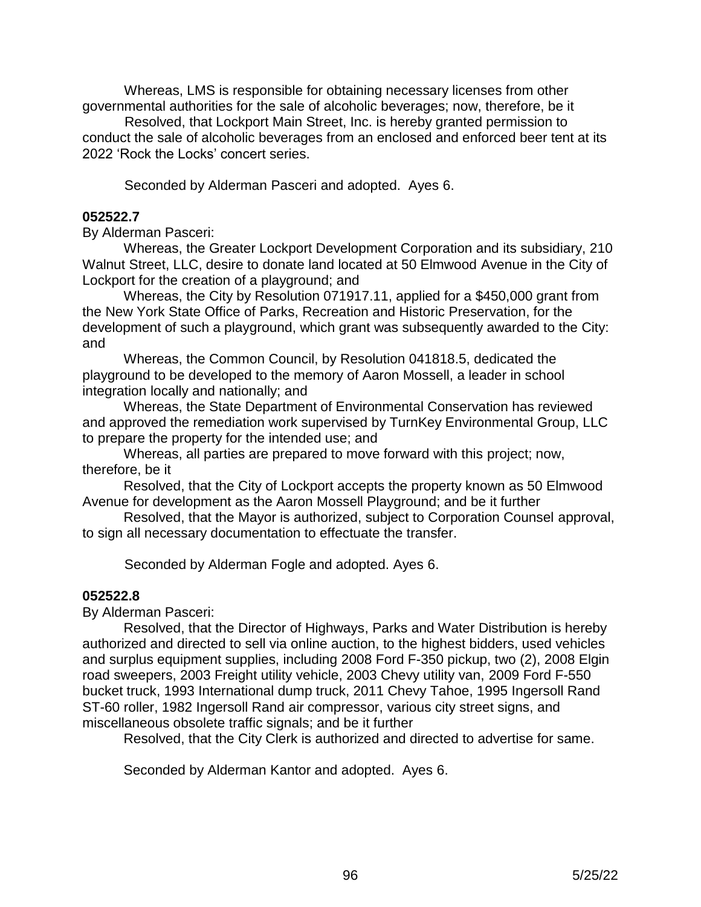Whereas, LMS is responsible for obtaining necessary licenses from other governmental authorities for the sale of alcoholic beverages; now, therefore, be it

 Resolved, that Lockport Main Street, Inc. is hereby granted permission to conduct the sale of alcoholic beverages from an enclosed and enforced beer tent at its 2022 'Rock the Locks' concert series.

Seconded by Alderman Pasceri and adopted. Ayes 6.

#### **052522.7**

By Alderman Pasceri:

Whereas, the Greater Lockport Development Corporation and its subsidiary, 210 Walnut Street, LLC, desire to donate land located at 50 Elmwood Avenue in the City of Lockport for the creation of a playground; and

Whereas, the City by Resolution 071917.11, applied for a \$450,000 grant from the New York State Office of Parks, Recreation and Historic Preservation, for the development of such a playground, which grant was subsequently awarded to the City: and

Whereas, the Common Council, by Resolution 041818.5, dedicated the playground to be developed to the memory of Aaron Mossell, a leader in school integration locally and nationally; and

Whereas, the State Department of Environmental Conservation has reviewed and approved the remediation work supervised by TurnKey Environmental Group, LLC to prepare the property for the intended use; and

Whereas, all parties are prepared to move forward with this project; now, therefore, be it

Resolved, that the City of Lockport accepts the property known as 50 Elmwood Avenue for development as the Aaron Mossell Playground; and be it further

Resolved, that the Mayor is authorized, subject to Corporation Counsel approval, to sign all necessary documentation to effectuate the transfer.

Seconded by Alderman Fogle and adopted. Ayes 6.

## **052522.8**

By Alderman Pasceri:

 Resolved, that the Director of Highways, Parks and Water Distribution is hereby authorized and directed to sell via online auction, to the highest bidders, used vehicles and surplus equipment supplies, including 2008 Ford F-350 pickup, two (2), 2008 Elgin road sweepers, 2003 Freight utility vehicle, 2003 Chevy utility van, 2009 Ford F-550 bucket truck, 1993 International dump truck, 2011 Chevy Tahoe, 1995 Ingersoll Rand ST-60 roller, 1982 Ingersoll Rand air compressor, various city street signs, and miscellaneous obsolete traffic signals; and be it further

Resolved, that the City Clerk is authorized and directed to advertise for same.

Seconded by Alderman Kantor and adopted. Ayes 6.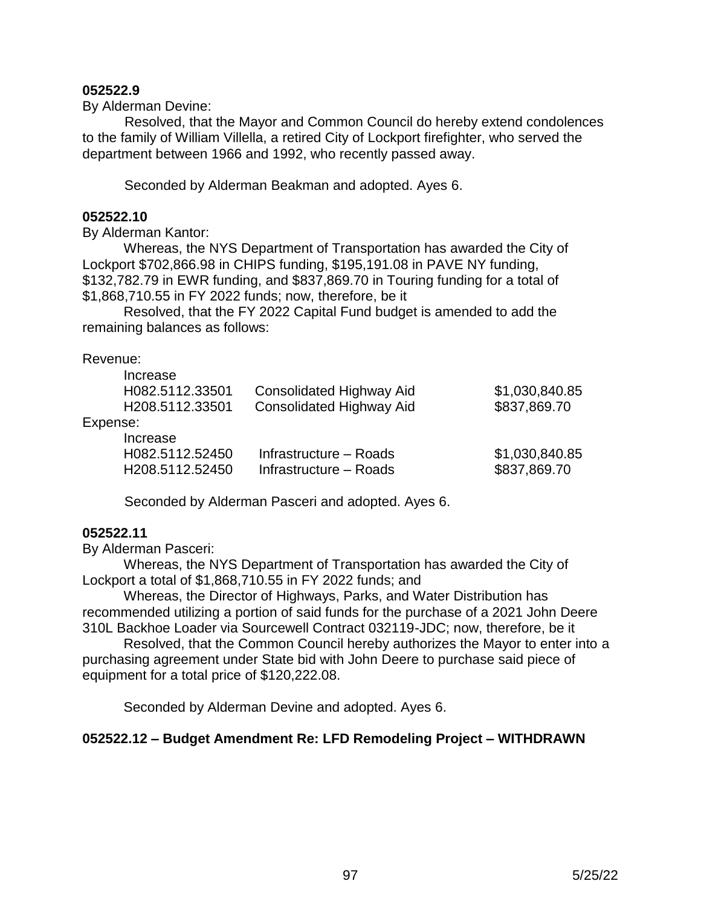#### **052522.9**

By Alderman Devine:

 Resolved, that the Mayor and Common Council do hereby extend condolences to the family of William Villella, a retired City of Lockport firefighter, who served the department between 1966 and 1992, who recently passed away.

Seconded by Alderman Beakman and adopted. Ayes 6.

#### **052522.10**

By Alderman Kantor:

Whereas, the NYS Department of Transportation has awarded the City of Lockport \$702,866.98 in CHIPS funding, \$195,191.08 in PAVE NY funding, \$132,782.79 in EWR funding, and \$837,869.70 in Touring funding for a total of \$1,868,710.55 in FY 2022 funds; now, therefore, be it

Resolved, that the FY 2022 Capital Fund budget is amended to add the remaining balances as follows:

Revenue:

| Increase        |                                 |                |
|-----------------|---------------------------------|----------------|
| H082.5112.33501 | Consolidated Highway Aid        | \$1,030,840.85 |
| H208.5112.33501 | <b>Consolidated Highway Aid</b> | \$837,869.70   |
| Expense:        |                                 |                |
| Increase        |                                 |                |
| H082.5112.52450 | Infrastructure - Roads          | \$1,030,840.85 |
| H208.5112.52450 | Infrastructure - Roads          | \$837,869.70   |
|                 |                                 |                |

Seconded by Alderman Pasceri and adopted. Ayes 6.

#### **052522.11**

By Alderman Pasceri:

Whereas, the NYS Department of Transportation has awarded the City of Lockport a total of \$1,868,710.55 in FY 2022 funds; and

Whereas, the Director of Highways, Parks, and Water Distribution has recommended utilizing a portion of said funds for the purchase of a 2021 John Deere 310L Backhoe Loader via Sourcewell Contract 032119-JDC; now, therefore, be it

Resolved, that the Common Council hereby authorizes the Mayor to enter into a purchasing agreement under State bid with John Deere to purchase said piece of equipment for a total price of \$120,222.08.

Seconded by Alderman Devine and adopted. Ayes 6.

## **052522.12 – Budget Amendment Re: LFD Remodeling Project – WITHDRAWN**